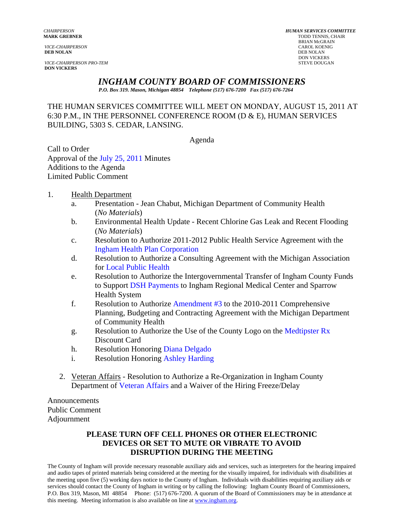*VICE-CHAIRPERSON* CAROL KOENIG CAROL KOENIG AND CAROL KOENIG CAROL KOENIG CAROL KOENIG CAROL KOENIG KOENIG KOEN<br>**DEB NOLAN** DEB NOLAN **DEB NOLAN** DEB NOLAN

**VICE-CHAIRPERSON PRO-TEM DON VICKERS** 

*CHAIRPERSON HUMAN SERVICES COMMITTEE* **TODD TENNIS, CHAIR** BRIAN McGRAIN<br>CAROL KOENIG DON VICKERS<br>STEVE DOUGAN

## *INGHAM COUNTY BOARD OF COMMISSIONERS*

*P.O. Box 319. Mason, Michigan 48854 Telephone (517) 676-7200 Fax (517) 676-7264*

THE HUMAN SERVICES COMMITTEE WILL MEET ON MONDAY, AUGUST 15, 2011 AT 6:30 P.M., IN THE PERSONNEL CONFERENCE ROOM (D & E), HUMAN SERVICES BUILDING, 5303 S. CEDAR, LANSING.

Agenda

Call to Order Approval of [the July 25, 2011 Minutes](#page-1-0)  Additions to the Agenda Limited Public Comment

- 1. Health Department
	- a. Presentation Jean Chabut, Michigan Department of Community Health (*No Materials*)
	- b. Environmental Health Update Recent Chlorine Gas Leak and Recent Flooding (*No Materials*)
	- c. Resolution to Authorize 2011-2012 Public Health Service Agreement with the [Ingham Health Plan Corporation](#page-9-0)
	- d. Resolution to Authorize a Consulting Agreement with the Michigan Association fo[r Local Public Health](#page-11-0)
	- e. Resolution to Authorize the Intergovernmental Transfer of Ingham County Funds to Suppo[rt DSH Payments to Ingham Re](#page-13-0)gional Medical Center and Sparrow Health S[ystem](#page-13-0)
	- f. Resolution to Authori[ze Amendment #3 to the 2010-2](#page-16-0)011 Comprehensive Planning, Budgeting and Contracting Agreement with the Michigan Department of Community Health
	- g. Resolution to Authorize the Use of the County Logo on t[he Medtipster Rx](#page-18-0)  Discount Card
	- h. Resolution Honorin[g Diana Delgado](#page-20-0)
	- i. Resolution Honorin[g Ashley Harding](#page-21-0)
	- 2. Veteran Affairs Resolution to Authorize a Re-Organization in Ingham County Department [of Veteran Affairs and a Waiv](#page-22-0)er of the Hiring Freeze/Delay

Announcements Public Comment Adjournment

#### **PLEASE TURN OFF CELL PHONES OR OTHER ELECTRONIC DEVICES OR SET TO MUTE OR VIBRATE TO AVOID DISRUPTION DURING THE MEETING**

The County of Ingham will provide necessary reasonable auxiliary aids and services, such as interpreters for the hearing impaired and audio tapes of printed materials being considered at the meeting for the visually impaired, for individuals with disabilities at the meeting upon five (5) working days notice to the County of Ingham. Individuals with disabilities requiring auxiliary aids or services should contact the County of Ingham in writing or by calling the following: Ingham County Board of Commissioners, P.O. Box 319, Mason, MI 48854 Phone: (517) 676-7200. A quorum of the Board of Commissioners may be in attendance at this meeting. Meeting information is also available on line at www.ingham.org.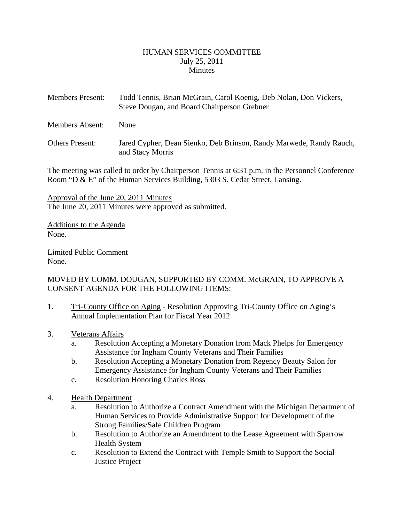#### HUMAN SERVICES COMMITTEE July 25, 2011 **Minutes**

<span id="page-1-0"></span>

| <b>Members Present:</b> | Todd Tennis, Brian McGrain, Carol Koenig, Deb Nolan, Don Vickers,<br>Steve Dougan, and Board Chairperson Grebner |
|-------------------------|------------------------------------------------------------------------------------------------------------------|
| <b>Members Absent:</b>  | <b>None</b>                                                                                                      |

Others Present: Jared Cypher, Dean Sienko, Deb Brinson, Randy Marwede, Randy Rauch, and Stacy Morris

The meeting was called to order by Chairperson Tennis at 6:31 p.m. in the Personnel Conference Room "D & E" of the Human Services Building, 5303 S. Cedar Street, Lansing.

Approval of the June 20, 2011 Minutes The June 20, 2011 Minutes were approved as submitted.

Additions to the Agenda None.

Limited Public Comment None.

MOVED BY COMM. DOUGAN, SUPPORTED BY COMM. McGRAIN, TO APPROVE A CONSENT AGENDA FOR THE FOLLOWING ITEMS:

- 1. Tri-County Office on Aging Resolution Approving Tri-County Office on Aging's Annual Implementation Plan for Fiscal Year 2012
- 3. Veterans Affairs
	- a. Resolution Accepting a Monetary Donation from Mack Phelps for Emergency Assistance for Ingham County Veterans and Their Families
	- b. Resolution Accepting a Monetary Donation from Regency Beauty Salon for Emergency Assistance for Ingham County Veterans and Their Families
	- c. Resolution Honoring Charles Ross
- 4. Health Department
	- a. Resolution to Authorize a Contract Amendment with the Michigan Department of Human Services to Provide Administrative Support for Development of the Strong Families/Safe Children Program
	- b. Resolution to Authorize an Amendment to the Lease Agreement with Sparrow Health System
	- c. Resolution to Extend the Contract with Temple Smith to Support the Social Justice Project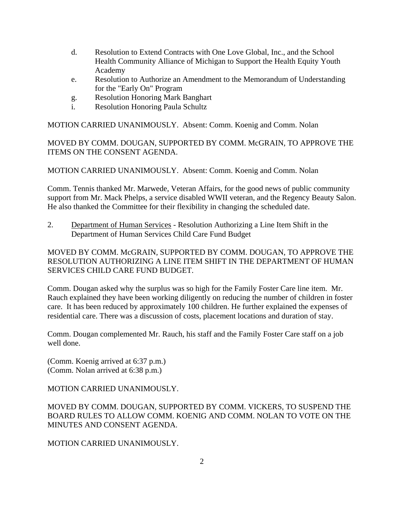- d. Resolution to Extend Contracts with One Love Global, Inc., and the School Health Community Alliance of Michigan to Support the Health Equity Youth Academy
- e. Resolution to Authorize an Amendment to the Memorandum of Understanding for the "Early On" Program
- g. Resolution Honoring Mark Banghart
- i. Resolution Honoring Paula Schultz

MOTION CARRIED UNANIMOUSLY. Absent: Comm. Koenig and Comm. Nolan

MOVED BY COMM. DOUGAN, SUPPORTED BY COMM. McGRAIN, TO APPROVE THE ITEMS ON THE CONSENT AGENDA.

MOTION CARRIED UNANIMOUSLY. Absent: Comm. Koenig and Comm. Nolan

Comm. Tennis thanked Mr. Marwede, Veteran Affairs, for the good news of public community support from Mr. Mack Phelps, a service disabled WWII veteran, and the Regency Beauty Salon. He also thanked the Committee for their flexibility in changing the scheduled date.

2. Department of Human Services - Resolution Authorizing a Line Item Shift in the Department of Human Services Child Care Fund Budget

MOVED BY COMM. McGRAIN, SUPPORTED BY COMM. DOUGAN, TO APPROVE THE RESOLUTION AUTHORIZING A LINE ITEM SHIFT IN THE DEPARTMENT OF HUMAN SERVICES CHILD CARE FUND BUDGET.

Comm. Dougan asked why the surplus was so high for the Family Foster Care line item. Mr. Rauch explained they have been working diligently on reducing the number of children in foster care. It has been reduced by approximately 100 children. He further explained the expenses of residential care. There was a discussion of costs, placement locations and duration of stay.

Comm. Dougan complemented Mr. Rauch, his staff and the Family Foster Care staff on a job well done.

(Comm. Koenig arrived at 6:37 p.m.) (Comm. Nolan arrived at 6:38 p.m.)

MOTION CARRIED UNANIMOUSLY.

MOVED BY COMM. DOUGAN, SUPPORTED BY COMM. VICKERS, TO SUSPEND THE BOARD RULES TO ALLOW COMM. KOENIG AND COMM. NOLAN TO VOTE ON THE MINUTES AND CONSENT AGENDA.

MOTION CARRIED UNANIMOUSLY.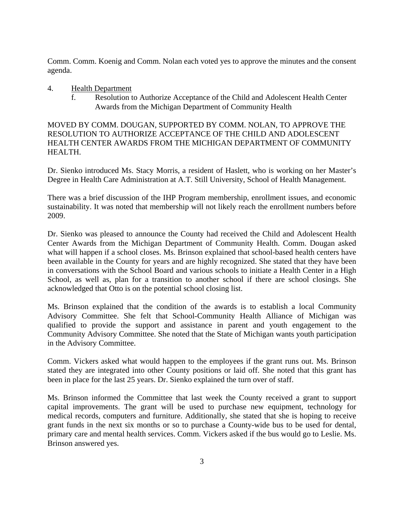Comm. Comm. Koenig and Comm. Nolan each voted yes to approve the minutes and the consent agenda.

- 4. Health Department
	- f. Resolution to Authorize Acceptance of the Child and Adolescent Health Center Awards from the Michigan Department of Community Health

MOVED BY COMM. DOUGAN, SUPPORTED BY COMM. NOLAN, TO APPROVE THE RESOLUTION TO AUTHORIZE ACCEPTANCE OF THE CHILD AND ADOLESCENT HEALTH CENTER AWARDS FROM THE MICHIGAN DEPARTMENT OF COMMUNITY HEALTH.

Dr. Sienko introduced Ms. Stacy Morris, a resident of Haslett, who is working on her Master's Degree in Health Care Administration at A.T. Still University, School of Health Management.

There was a brief discussion of the IHP Program membership, enrollment issues, and economic sustainability. It was noted that membership will not likely reach the enrollment numbers before 2009.

Dr. Sienko was pleased to announce the County had received the Child and Adolescent Health Center Awards from the Michigan Department of Community Health. Comm. Dougan asked what will happen if a school closes. Ms. Brinson explained that school-based health centers have been available in the County for years and are highly recognized. She stated that they have been in conversations with the School Board and various schools to initiate a Health Center in a High School, as well as, plan for a transition to another school if there are school closings. She acknowledged that Otto is on the potential school closing list.

Ms. Brinson explained that the condition of the awards is to establish a local Community Advisory Committee. She felt that School-Community Health Alliance of Michigan was qualified to provide the support and assistance in parent and youth engagement to the Community Advisory Committee. She noted that the State of Michigan wants youth participation in the Advisory Committee.

Comm. Vickers asked what would happen to the employees if the grant runs out. Ms. Brinson stated they are integrated into other County positions or laid off. She noted that this grant has been in place for the last 25 years. Dr. Sienko explained the turn over of staff.

Ms. Brinson informed the Committee that last week the County received a grant to support capital improvements. The grant will be used to purchase new equipment, technology for medical records, computers and furniture. Additionally, she stated that she is hoping to receive grant funds in the next six months or so to purchase a County-wide bus to be used for dental, primary care and mental health services. Comm. Vickers asked if the bus would go to Leslie. Ms. Brinson answered yes.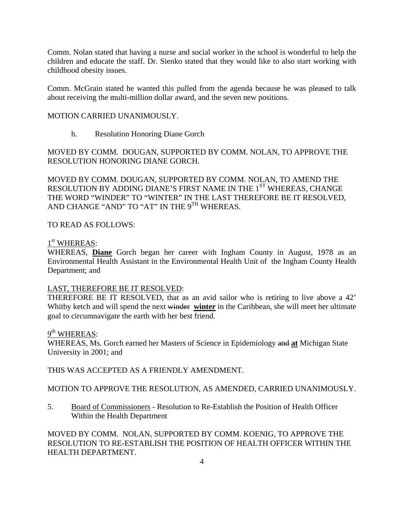Comm. Nolan stated that having a nurse and social worker in the school is wonderful to help the children and educate the staff. Dr. Sienko stated that they would like to also start working with childhood obesity issues.

Comm. McGrain stated he wanted this pulled from the agenda because he was pleased to talk about receiving the multi-million dollar award, and the seven new positions.

### MOTION CARRIED UNANIMOUSLY.

h. Resolution Honoring Diane Gorch

MOVED BY COMM. DOUGAN, SUPPORTED BY COMM. NOLAN, TO APPROVE THE RESOLUTION HONORING DIANE GORCH.

MOVED BY COMM. DOUGAN, SUPPORTED BY COMM. NOLAN, TO AMEND THE RESOLUTION BY ADDING DIANE'S FIRST NAME IN THE 1ST WHEREAS, CHANGE THE WORD "WINDER" TO "WINTER" IN THE LAST THEREFORE BE IT RESOLVED, AND CHANGE "AND" TO "AT" IN THE 9TH WHEREAS.

### TO READ AS FOLLOWS:

#### 1<sup>st</sup> WHEREAS:

WHEREAS, **Diane** Gorch began her career with Ingham County in August, 1978 as an Environmental Health Assistant in the Environmental Health Unit of the Ingham County Health Department; and

#### LAST, THEREFORE BE IT RESOLVED:

THEREFORE BE IT RESOLVED, that as an avid sailor who is retiring to live above a 42' Whitby ketch and will spend the next winder **winter** in the Caribbean, she will meet her ultimate goal to circumnavigate the earth with her best friend.

#### 9<sup>th</sup> WHEREAS:

WHEREAS, Ms. Gorch earned her Masters of Science in Epidemiology and **at** Michigan State University in 2001; and

THIS WAS ACCEPTED AS A FRIENDLY AMENDMENT.

MOTION TO APPROVE THE RESOLUTION, AS AMENDED, CARRIED UNANIMOUSLY.

5. Board of Commissioners - Resolution to Re-Establish the Position of Health Officer Within the Health Department

MOVED BY COMM. NOLAN, SUPPORTED BY COMM. KOENIG, TO APPROVE THE RESOLUTION TO RE-ESTABLISH THE POSITION OF HEALTH OFFICER WITHIN THE HEALTH DEPARTMENT.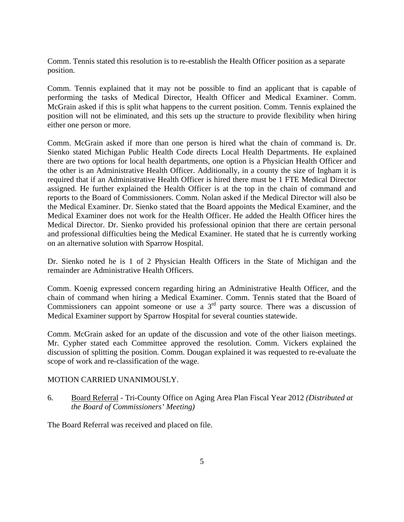Comm. Tennis stated this resolution is to re-establish the Health Officer position as a separate position.

Comm. Tennis explained that it may not be possible to find an applicant that is capable of performing the tasks of Medical Director, Health Officer and Medical Examiner. Comm. McGrain asked if this is split what happens to the current position. Comm. Tennis explained the position will not be eliminated, and this sets up the structure to provide flexibility when hiring either one person or more.

Comm. McGrain asked if more than one person is hired what the chain of command is. Dr. Sienko stated Michigan Public Health Code directs Local Health Departments. He explained there are two options for local health departments, one option is a Physician Health Officer and the other is an Administrative Health Officer. Additionally, in a county the size of Ingham it is required that if an Administrative Health Officer is hired there must be 1 FTE Medical Director assigned. He further explained the Health Officer is at the top in the chain of command and reports to the Board of Commissioners. Comm. Nolan asked if the Medical Director will also be the Medical Examiner. Dr. Sienko stated that the Board appoints the Medical Examiner, and the Medical Examiner does not work for the Health Officer. He added the Health Officer hires the Medical Director. Dr. Sienko provided his professional opinion that there are certain personal and professional difficulties being the Medical Examiner. He stated that he is currently working on an alternative solution with Sparrow Hospital.

Dr. Sienko noted he is 1 of 2 Physician Health Officers in the State of Michigan and the remainder are Administrative Health Officers.

Comm. Koenig expressed concern regarding hiring an Administrative Health Officer, and the chain of command when hiring a Medical Examiner. Comm. Tennis stated that the Board of Commissioners can appoint someone or use a 3<sup>rd</sup> party source. There was a discussion of Medical Examiner support by Sparrow Hospital for several counties statewide.

Comm. McGrain asked for an update of the discussion and vote of the other liaison meetings. Mr. Cypher stated each Committee approved the resolution. Comm. Vickers explained the discussion of splitting the position. Comm. Dougan explained it was requested to re-evaluate the scope of work and re-classification of the wage.

#### MOTION CARRIED UNANIMOUSLY.

6. Board Referral - Tri-County Office on Aging Area Plan Fiscal Year 2012 *(Distributed at the Board of Commissioners' Meeting)* 

The Board Referral was received and placed on file.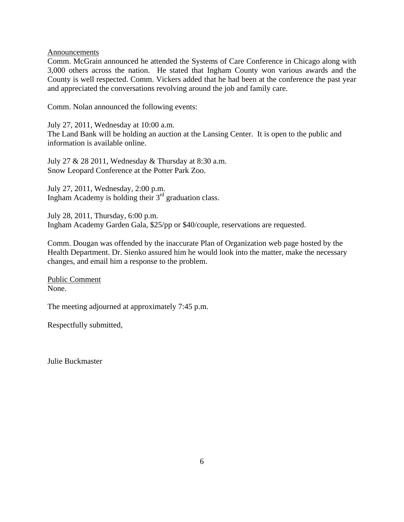Announcements

Comm. McGrain announced he attended the Systems of Care Conference in Chicago along with 3,000 others across the nation. He stated that Ingham County won various awards and the County is well respected. Comm. Vickers added that he had been at the conference the past year and appreciated the conversations revolving around the job and family care.

Comm. Nolan announced the following events:

July 27, 2011, Wednesday at 10:00 a.m.

The Land Bank will be holding an auction at the Lansing Center. It is open to the public and information is available online.

July 27 & 28 2011, Wednesday & Thursday at 8:30 a.m. Snow Leopard Conference at the Potter Park Zoo.

July 27, 2011, Wednesday, 2:00 p.m. Ingham Academy is holding their  $3<sup>rd</sup>$  graduation class.

July 28, 2011, Thursday, 6:00 p.m. Ingham Academy Garden Gala, \$25/pp or \$40/couple, reservations are requested.

Comm. Dougan was offended by the inaccurate Plan of Organization web page hosted by the Health Department. Dr. Sienko assured him he would look into the matter, make the necessary changes, and email him a response to the problem.

Public Comment None.

The meeting adjourned at approximately 7:45 p.m.

Respectfully submitted,

Julie Buckmaster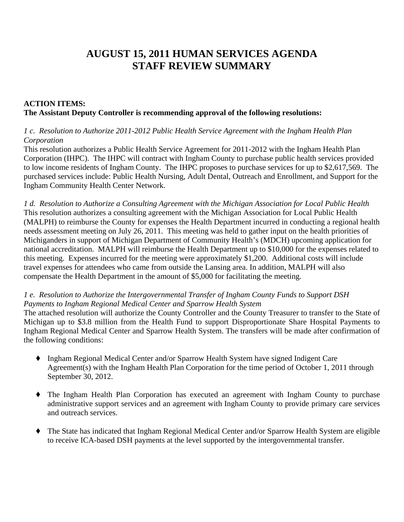# **AUGUST 15, 2011 HUMAN SERVICES AGENDA STAFF REVIEW SUMMARY**

# **ACTION ITEMS: The Assistant Deputy Controller is recommending approval of the following resolutions:**

## *1 c. Resolution to Authorize 2011-2012 Public Health Service Agreement with the Ingham Health Plan Corporation*

This resolution authorizes a Public Health Service Agreement for 2011-2012 with the Ingham Health Plan Corporation (IHPC). The IHPC will contract with Ingham County to purchase public health services provided to low income residents of Ingham County. The IHPC proposes to purchase services for up to \$2,617,569. The purchased services include: Public Health Nursing, Adult Dental, Outreach and Enrollment, and Support for the Ingham Community Health Center Network.

*1 d. Resolution to Authorize a Consulting Agreement with the Michigan Association for Local Public Health*  This resolution authorizes a consulting agreement with the Michigan Association for Local Public Health (MALPH) to reimburse the County for expenses the Health Department incurred in conducting a regional health needs assessment meeting on July 26, 2011. This meeting was held to gather input on the health priorities of Michiganders in support of Michigan Department of Community Health's (MDCH) upcoming application for national accreditation. MALPH will reimburse the Health Department up to \$10,000 for the expenses related to this meeting. Expenses incurred for the meeting were approximately \$1,200. Additional costs will include travel expenses for attendees who came from outside the Lansing area. In addition, MALPH will also compensate the Health Department in the amount of \$5,000 for facilitating the meeting.

### *1 e. Resolution to Authorize the Intergovernmental Transfer of Ingham County Funds to Support DSH Payments to Ingham Regional Medical Center and Sparrow Health System*

The attached resolution will authorize the County Controller and the County Treasurer to transfer to the State of Michigan up to \$3.8 million from the Health Fund to support Disproportionate Share Hospital Payments to Ingham Regional Medical Center and Sparrow Health System. The transfers will be made after confirmation of the following conditions:

- ' Ingham Regional Medical Center and/or Sparrow Health System have signed Indigent Care Agreement(s) with the Ingham Health Plan Corporation for the time period of October 1, 2011 through September 30, 2012.
- ' The Ingham Health Plan Corporation has executed an agreement with Ingham County to purchase administrative support services and an agreement with Ingham County to provide primary care services and outreach services.
- ' The State has indicated that Ingham Regional Medical Center and/or Sparrow Health System are eligible to receive ICA-based DSH payments at the level supported by the intergovernmental transfer.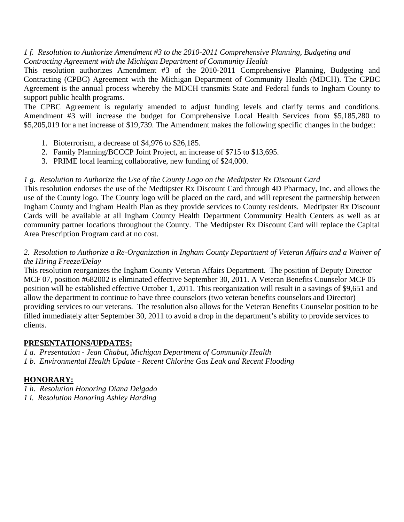## *1 f. Resolution to Authorize Amendment #3 to the 2010-2011 Comprehensive Planning, Budgeting and Contracting Agreement with the Michigan Department of Community Health*

This resolution authorizes Amendment #3 of the 2010-2011 Comprehensive Planning, Budgeting and Contracting (CPBC) Agreement with the Michigan Department of Community Health (MDCH). The CPBC Agreement is the annual process whereby the MDCH transmits State and Federal funds to Ingham County to support public health programs.

The CPBC Agreement is regularly amended to adjust funding levels and clarify terms and conditions. Amendment #3 will increase the budget for Comprehensive Local Health Services from \$5,185,280 to \$5,205,019 for a net increase of \$19,739. The Amendment makes the following specific changes in the budget:

- 1. Bioterrorism, a decrease of \$4,976 to \$26,185.
- 2. Family Planning/BCCCP Joint Project, an increase of \$715 to \$13,695.
- 3. PRIME local learning collaborative, new funding of \$24,000.

# *1 g. Resolution to Authorize the Use of the County Logo on the Medtipster Rx Discount Card*

This resolution endorses the use of the Medtipster Rx Discount Card through 4D Pharmacy, Inc. and allows the use of the County logo. The County logo will be placed on the card, and will represent the partnership between Ingham County and Ingham Health Plan as they provide services to County residents. Medtipster Rx Discount Cards will be available at all Ingham County Health Department Community Health Centers as well as at community partner locations throughout the County. The Medtipster Rx Discount Card will replace the Capital Area Prescription Program card at no cost.

## *2. Resolution to Authorize a Re-Organization in Ingham County Department of Veteran Affairs and a Waiver of the Hiring Freeze/Delay*

This resolution reorganizes the Ingham County Veteran Affairs Department. The position of Deputy Director MCF 07, position #682002 is eliminated effective September 30, 2011. A Veteran Benefits Counselor MCF 05 position will be established effective October 1, 2011. This reorganization will result in a savings of \$9,651 and allow the department to continue to have three counselors (two veteran benefits counselors and Director) providing services to our veterans. The resolution also allows for the Veteran Benefits Counselor position to be filled immediately after September 30, 2011 to avoid a drop in the department's ability to provide services to clients.

## **PRESENTATIONS/UPDATES:**

*1 a. Presentation - Jean Chabut, Michigan Department of Community Health 1 b. Environmental Health Update - Recent Chlorine Gas Leak and Recent Flooding* 

# **HONORARY:**

*1 h. Resolution Honoring Diana Delgado* 

*1 i. Resolution Honoring Ashley Harding*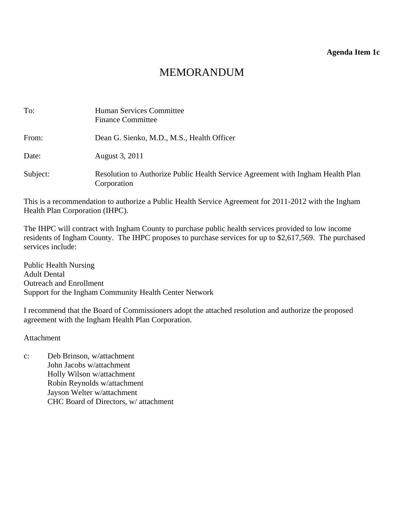#### **Agenda Item 1c**

# MEMORANDUM

<span id="page-9-0"></span>

| To:      | Human Services Committee<br><b>Finance Committee</b>                                           |
|----------|------------------------------------------------------------------------------------------------|
| From:    | Dean G. Sienko, M.D., M.S., Health Officer                                                     |
| Date:    | August 3, 2011                                                                                 |
| Subject: | Resolution to Authorize Public Health Service Agreement with Ingham Health Plan<br>Corporation |

This is a recommendation to authorize a Public Health Service Agreement for 2011-2012 with the Ingham Health Plan Corporation (IHPC).

The IHPC will contract with Ingham County to purchase public health services provided to low income residents of Ingham County. The IHPC proposes to purchase services for up to \$2,617,569. The purchased services include:

Public Health Nursing Adult Dental Outreach and Enrollment Support for the Ingham Community Health Center Network

I recommend that the Board of Commissioners adopt the attached resolution and authorize the proposed agreement with the Ingham Health Plan Corporation.

Attachment

c: Deb Brinson, w/attachment John Jacobs w/attachment Holly Wilson w/attachment Robin Reynolds w/attachment Jayson Welter w/attachment CHC Board of Directors, w/ attachment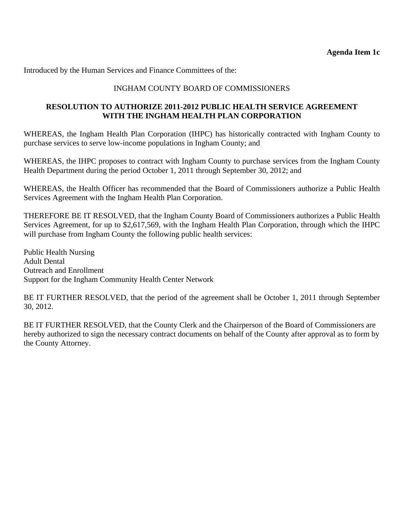Introduced by the Human Services and Finance Committees of the:

## INGHAM COUNTY BOARD OF COMMISSIONERS

## **RESOLUTION TO AUTHORIZE 2011-2012 PUBLIC HEALTH SERVICE AGREEMENT WITH THE INGHAM HEALTH PLAN CORPORATION**

WHEREAS, the Ingham Health Plan Corporation (IHPC) has historically contracted with Ingham County to purchase services to serve low-income populations in Ingham County; and

WHEREAS, the IHPC proposes to contract with Ingham County to purchase services from the Ingham County Health Department during the period October 1, 2011 through September 30, 2012; and

WHEREAS, the Health Officer has recommended that the Board of Commissioners authorize a Public Health Services Agreement with the Ingham Health Plan Corporation.

THEREFORE BE IT RESOLVED, that the Ingham County Board of Commissioners authorizes a Public Health Services Agreement, for up to \$2,617,569, with the Ingham Health Plan Corporation, through which the IHPC will purchase from Ingham County the following public health services:

Public Health Nursing Adult Dental Outreach and Enrollment Support for the Ingham Community Health Center Network

BE IT FURTHER RESOLVED, that the period of the agreement shall be October 1, 2011 through September 30, 2012.

BE IT FURTHER RESOLVED, that the County Clerk and the Chairperson of the Board of Commissioners are hereby authorized to sign the necessary contract documents on behalf of the County after approval as to form by the County Attorney.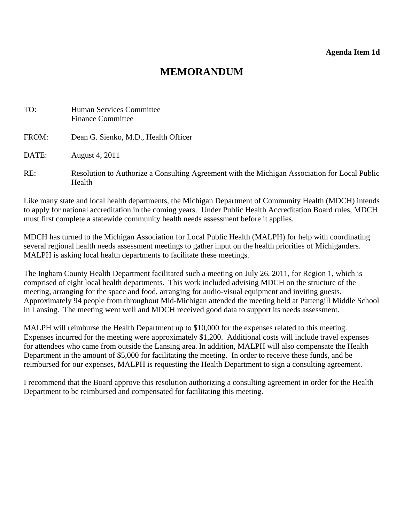# **MEMORANDUM**

<span id="page-11-0"></span>

| TO:   | Human Services Committee<br><b>Finance Committee</b>                                                    |
|-------|---------------------------------------------------------------------------------------------------------|
| FROM: | Dean G. Sienko, M.D., Health Officer                                                                    |
| DATE: | August 4, 2011                                                                                          |
| RE:   | Resolution to Authorize a Consulting Agreement with the Michigan Association for Local Public<br>Health |

Like many state and local health departments, the Michigan Department of Community Health (MDCH) intends to apply for national accreditation in the coming years. Under Public Health Accreditation Board rules, MDCH must first complete a statewide community health needs assessment before it applies.

MDCH has turned to the Michigan Association for Local Public Health (MALPH) for help with coordinating several regional health needs assessment meetings to gather input on the health priorities of Michiganders. MALPH is asking local health departments to facilitate these meetings.

The Ingham County Health Department facilitated such a meeting on July 26, 2011, for Region 1, which is comprised of eight local health departments. This work included advising MDCH on the structure of the meeting, arranging for the space and food, arranging for audio-visual equipment and inviting guests. Approximately 94 people from throughout Mid-Michigan attended the meeting held at Pattengill Middle School in Lansing. The meeting went well and MDCH received good data to support its needs assessment.

MALPH will reimburse the Health Department up to \$10,000 for the expenses related to this meeting. Expenses incurred for the meeting were approximately \$1,200. Additional costs will include travel expenses for attendees who came from outside the Lansing area. In addition, MALPH will also compensate the Health Department in the amount of \$5,000 for facilitating the meeting. In order to receive these funds, and be reimbursed for our expenses, MALPH is requesting the Health Department to sign a consulting agreement.

I recommend that the Board approve this resolution authorizing a consulting agreement in order for the Health Department to be reimbursed and compensated for facilitating this meeting.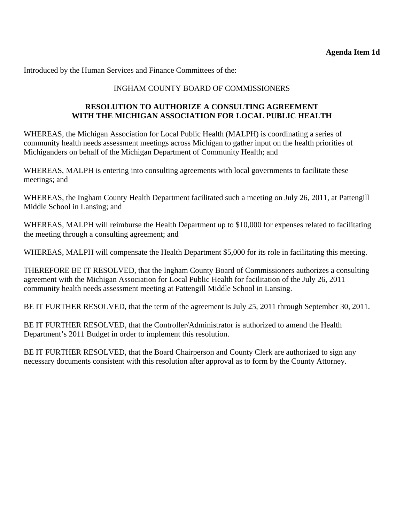Introduced by the Human Services and Finance Committees of the:

# INGHAM COUNTY BOARD OF COMMISSIONERS

## **RESOLUTION TO AUTHORIZE A CONSULTING AGREEMENT WITH THE MICHIGAN ASSOCIATION FOR LOCAL PUBLIC HEALTH**

WHEREAS, the Michigan Association for Local Public Health (MALPH) is coordinating a series of community health needs assessment meetings across Michigan to gather input on the health priorities of Michiganders on behalf of the Michigan Department of Community Health; and

WHEREAS, MALPH is entering into consulting agreements with local governments to facilitate these meetings; and

WHEREAS, the Ingham County Health Department facilitated such a meeting on July 26, 2011, at Pattengill Middle School in Lansing; and

WHEREAS, MALPH will reimburse the Health Department up to \$10,000 for expenses related to facilitating the meeting through a consulting agreement; and

WHEREAS, MALPH will compensate the Health Department \$5,000 for its role in facilitating this meeting.

THEREFORE BE IT RESOLVED, that the Ingham County Board of Commissioners authorizes a consulting agreement with the Michigan Association for Local Public Health for facilitation of the July 26, 2011 community health needs assessment meeting at Pattengill Middle School in Lansing.

BE IT FURTHER RESOLVED, that the term of the agreement is July 25, 2011 through September 30, 2011.

BE IT FURTHER RESOLVED, that the Controller/Administrator is authorized to amend the Health Department's 2011 Budget in order to implement this resolution.

BE IT FURTHER RESOLVED, that the Board Chairperson and County Clerk are authorized to sign any necessary documents consistent with this resolution after approval as to form by the County Attorney.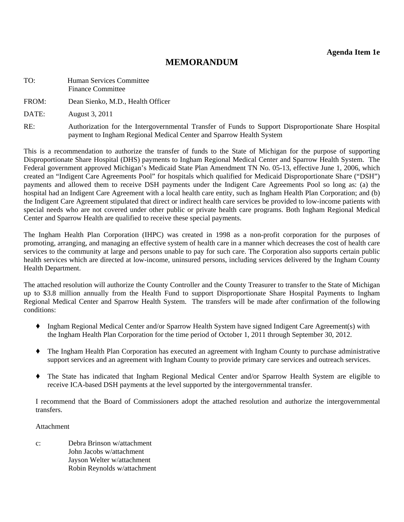# **MEMORANDUM**

<span id="page-13-0"></span>TO: Human Services Committee Finance Committee

FROM: Dean Sienko, M.D., Health Officer

DATE: August 3, 2011

RE: Authorization for the Intergovernmental Transfer of Funds to Support Disproportionate Share Hospital payment to Ingham Regional Medical Center and Sparrow Health System

This is a recommendation to authorize the transfer of funds to the State of Michigan for the purpose of supporting Disproportionate Share Hospital (DHS) payments to Ingham Regional Medical Center and Sparrow Health System. The Federal government approved Michigan's Medicaid State Plan Amendment TN No. 05-13, effective June 1, 2006, which created an "Indigent Care Agreements Pool" for hospitals which qualified for Medicaid Disproportionate Share ("DSH") payments and allowed them to receive DSH payments under the Indigent Care Agreements Pool so long as: (a) the hospital had an Indigent Care Agreement with a local health care entity, such as Ingham Health Plan Corporation; and (b) the Indigent Care Agreement stipulated that direct or indirect health care services be provided to low-income patients with special needs who are not covered under other public or private health care programs. Both Ingham Regional Medical Center and Sparrow Health are qualified to receive these special payments.

The Ingham Health Plan Corporation (IHPC) was created in 1998 as a non-profit corporation for the purposes of promoting, arranging, and managing an effective system of health care in a manner which decreases the cost of health care services to the community at large and persons unable to pay for such care. The Corporation also supports certain public health services which are directed at low-income, uninsured persons, including services delivered by the Ingham County Health Department.

The attached resolution will authorize the County Controller and the County Treasurer to transfer to the State of Michigan up to \$3.8 million annually from the Health Fund to support Disproportionate Share Hospital Payments to Ingham Regional Medical Center and Sparrow Health System. The transfers will be made after confirmation of the following conditions:

- ' Ingham Regional Medical Center and/or Sparrow Health System have signed Indigent Care Agreement(s) with the Ingham Health Plan Corporation for the time period of October 1, 2011 through September 30, 2012.
- ' The Ingham Health Plan Corporation has executed an agreement with Ingham County to purchase administrative support services and an agreement with Ingham County to provide primary care services and outreach services.
- ' The State has indicated that Ingham Regional Medical Center and/or Sparrow Health System are eligible to receive ICA-based DSH payments at the level supported by the intergovernmental transfer.

I recommend that the Board of Commissioners adopt the attached resolution and authorize the intergovernmental transfers.

#### Attachment

c: Debra Brinson w/attachment John Jacobs w/attachment Jayson Welter w/attachment Robin Reynolds w/attachment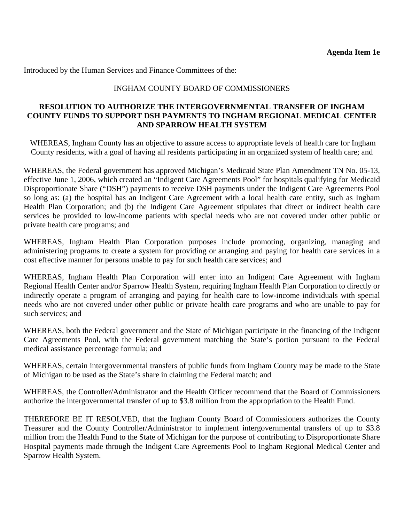Introduced by the Human Services and Finance Committees of the:

## INGHAM COUNTY BOARD OF COMMISSIONERS

### **RESOLUTION TO AUTHORIZE THE INTERGOVERNMENTAL TRANSFER OF INGHAM COUNTY FUNDS TO SUPPORT DSH PAYMENTS TO INGHAM REGIONAL MEDICAL CENTER AND SPARROW HEALTH SYSTEM**

 WHEREAS, Ingham County has an objective to assure access to appropriate levels of health care for Ingham County residents, with a goal of having all residents participating in an organized system of health care; and

WHEREAS, the Federal government has approved Michigan's Medicaid State Plan Amendment TN No. 05-13, effective June 1, 2006, which created an "Indigent Care Agreements Pool" for hospitals qualifying for Medicaid Disproportionate Share ("DSH") payments to receive DSH payments under the Indigent Care Agreements Pool so long as: (a) the hospital has an Indigent Care Agreement with a local health care entity, such as Ingham Health Plan Corporation; and (b) the Indigent Care Agreement stipulates that direct or indirect health care services be provided to low-income patients with special needs who are not covered under other public or private health care programs; and

WHEREAS, Ingham Health Plan Corporation purposes include promoting, organizing, managing and administering programs to create a system for providing or arranging and paying for health care services in a cost effective manner for persons unable to pay for such health care services; and

WHEREAS, Ingham Health Plan Corporation will enter into an Indigent Care Agreement with Ingham Regional Health Center and/or Sparrow Health System, requiring Ingham Health Plan Corporation to directly or indirectly operate a program of arranging and paying for health care to low-income individuals with special needs who are not covered under other public or private health care programs and who are unable to pay for such services; and

WHEREAS, both the Federal government and the State of Michigan participate in the financing of the Indigent Care Agreements Pool, with the Federal government matching the State's portion pursuant to the Federal medical assistance percentage formula; and

WHEREAS, certain intergovernmental transfers of public funds from Ingham County may be made to the State of Michigan to be used as the State's share in claiming the Federal match; and

WHEREAS, the Controller/Administrator and the Health Officer recommend that the Board of Commissioners authorize the intergovernmental transfer of up to \$3.8 million from the appropriation to the Health Fund.

THEREFORE BE IT RESOLVED, that the Ingham County Board of Commissioners authorizes the County Treasurer and the County Controller/Administrator to implement intergovernmental transfers of up to \$3.8 million from the Health Fund to the State of Michigan for the purpose of contributing to Disproportionate Share Hospital payments made through the Indigent Care Agreements Pool to Ingham Regional Medical Center and Sparrow Health System.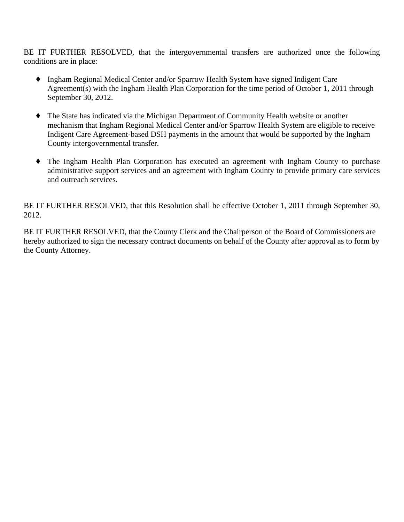BE IT FURTHER RESOLVED, that the intergovernmental transfers are authorized once the following conditions are in place:

- ' Ingham Regional Medical Center and/or Sparrow Health System have signed Indigent Care Agreement(s) with the Ingham Health Plan Corporation for the time period of October 1, 2011 through September 30, 2012.
- ' The State has indicated via the Michigan Department of Community Health website or another mechanism that Ingham Regional Medical Center and/or Sparrow Health System are eligible to receive Indigent Care Agreement-based DSH payments in the amount that would be supported by the Ingham County intergovernmental transfer.
- ' The Ingham Health Plan Corporation has executed an agreement with Ingham County to purchase administrative support services and an agreement with Ingham County to provide primary care services and outreach services.

BE IT FURTHER RESOLVED, that this Resolution shall be effective October 1, 2011 through September 30, 2012.

BE IT FURTHER RESOLVED, that the County Clerk and the Chairperson of the Board of Commissioners are hereby authorized to sign the necessary contract documents on behalf of the County after approval as to form by the County Attorney.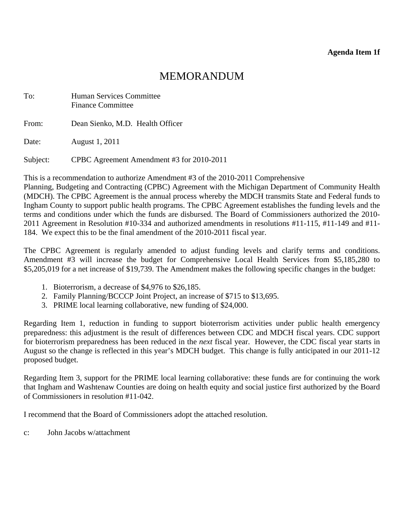# MEMORANDUM

<span id="page-16-0"></span>

| To:      | Human Services Committee<br><b>Finance Committee</b> |  |
|----------|------------------------------------------------------|--|
| From:    | Dean Sienko, M.D. Health Officer                     |  |
| Date:    | August 1, 2011                                       |  |
| Subject: | CPBC Agreement Amendment #3 for 2010-2011            |  |

This is a recommendation to authorize Amendment #3 of the 2010-2011 Comprehensive

Planning, Budgeting and Contracting (CPBC) Agreement with the Michigan Department of Community Health (MDCH). The CPBC Agreement is the annual process whereby the MDCH transmits State and Federal funds to Ingham County to support public health programs. The CPBC Agreement establishes the funding levels and the terms and conditions under which the funds are disbursed. The Board of Commissioners authorized the 2010- 2011 Agreement in Resolution #10-334 and authorized amendments in resolutions #11-115, #11-149 and #11- 184. We expect this to be the final amendment of the 2010-2011 fiscal year.

The CPBC Agreement is regularly amended to adjust funding levels and clarify terms and conditions. Amendment #3 will increase the budget for Comprehensive Local Health Services from \$5,185,280 to \$5,205,019 for a net increase of \$19,739. The Amendment makes the following specific changes in the budget:

- 1. Bioterrorism, a decrease of \$4,976 to \$26,185.
- 2. Family Planning/BCCCP Joint Project, an increase of \$715 to \$13,695.
- 3. PRIME local learning collaborative, new funding of \$24,000.

Regarding Item 1, reduction in funding to support bioterrorism activities under public health emergency preparedness: this adjustment is the result of differences between CDC and MDCH fiscal years. CDC support for bioterrorism preparedness has been reduced in the *next* fiscal year. However, the CDC fiscal year starts in August so the change is reflected in this year's MDCH budget. This change is fully anticipated in our 2011-12 proposed budget.

Regarding Item 3, support for the PRIME local learning collaborative: these funds are for continuing the work that Ingham and Washtenaw Counties are doing on health equity and social justice first authorized by the Board of Commissioners in resolution #11-042.

I recommend that the Board of Commissioners adopt the attached resolution.

c: John Jacobs w/attachment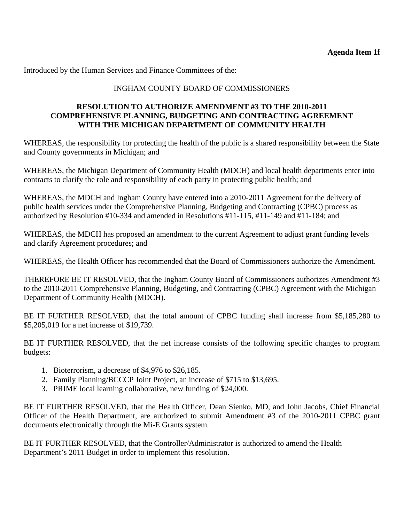Introduced by the Human Services and Finance Committees of the:

# INGHAM COUNTY BOARD OF COMMISSIONERS

## **RESOLUTION TO AUTHORIZE AMENDMENT #3 TO THE 2010-2011 COMPREHENSIVE PLANNING, BUDGETING AND CONTRACTING AGREEMENT WITH THE MICHIGAN DEPARTMENT OF COMMUNITY HEALTH**

WHEREAS, the responsibility for protecting the health of the public is a shared responsibility between the State and County governments in Michigan; and

WHEREAS, the Michigan Department of Community Health (MDCH) and local health departments enter into contracts to clarify the role and responsibility of each party in protecting public health; and

WHEREAS, the MDCH and Ingham County have entered into a 2010-2011 Agreement for the delivery of public health services under the Comprehensive Planning, Budgeting and Contracting (CPBC) process as authorized by Resolution #10-334 and amended in Resolutions #11-115, #11-149 and #11-184; and

WHEREAS, the MDCH has proposed an amendment to the current Agreement to adjust grant funding levels and clarify Agreement procedures; and

WHEREAS, the Health Officer has recommended that the Board of Commissioners authorize the Amendment.

THEREFORE BE IT RESOLVED, that the Ingham County Board of Commissioners authorizes Amendment #3 to the 2010-2011 Comprehensive Planning, Budgeting, and Contracting (CPBC) Agreement with the Michigan Department of Community Health (MDCH).

BE IT FURTHER RESOLVED, that the total amount of CPBC funding shall increase from \$5,185,280 to \$5,205,019 for a net increase of \$19,739.

BE IT FURTHER RESOLVED, that the net increase consists of the following specific changes to program budgets:

- 1. Bioterrorism, a decrease of \$4,976 to \$26,185.
- 2. Family Planning/BCCCP Joint Project, an increase of \$715 to \$13,695.
- 3. PRIME local learning collaborative, new funding of \$24,000.

BE IT FURTHER RESOLVED, that the Health Officer, Dean Sienko, MD, and John Jacobs, Chief Financial Officer of the Health Department, are authorized to submit Amendment #3 of the 2010-2011 CPBC grant documents electronically through the Mi-E Grants system.

BE IT FURTHER RESOLVED, that the Controller/Administrator is authorized to amend the Health Department's 2011 Budget in order to implement this resolution.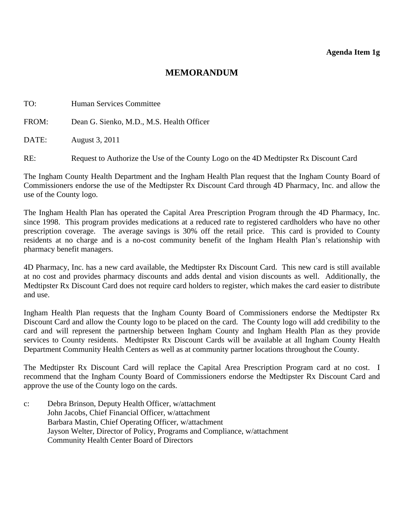# **MEMORANDUM**

<span id="page-18-0"></span>

| TO:   | Human Services Committee                                                              |
|-------|---------------------------------------------------------------------------------------|
| FROM: | Dean G. Sienko, M.D., M.S. Health Officer                                             |
| DATE: | August 3, 2011                                                                        |
| RE:   | Request to Authorize the Use of the County Logo on the 4D Medtipster Rx Discount Card |

The Ingham County Health Department and the Ingham Health Plan request that the Ingham County Board of Commissioners endorse the use of the Medtipster Rx Discount Card through 4D Pharmacy, Inc. and allow the use of the County logo.

The Ingham Health Plan has operated the Capital Area Prescription Program through the 4D Pharmacy, Inc. since 1998. This program provides medications at a reduced rate to registered cardholders who have no other prescription coverage. The average savings is 30% off the retail price. This card is provided to County residents at no charge and is a no-cost community benefit of the Ingham Health Plan's relationship with pharmacy benefit managers.

4D Pharmacy, Inc. has a new card available, the Medtipster Rx Discount Card. This new card is still available at no cost and provides pharmacy discounts and adds dental and vision discounts as well. Additionally, the Medtipster Rx Discount Card does not require card holders to register, which makes the card easier to distribute and use.

Ingham Health Plan requests that the Ingham County Board of Commissioners endorse the Medtipster Rx Discount Card and allow the County logo to be placed on the card. The County logo will add credibility to the card and will represent the partnership between Ingham County and Ingham Health Plan as they provide services to County residents. Medtipster Rx Discount Cards will be available at all Ingham County Health Department Community Health Centers as well as at community partner locations throughout the County.

The Medtipster Rx Discount Card will replace the Capital Area Prescription Program card at no cost. I recommend that the Ingham County Board of Commissioners endorse the Medtipster Rx Discount Card and approve the use of the County logo on the cards.

c: Debra Brinson, Deputy Health Officer, w/attachment John Jacobs, Chief Financial Officer, w/attachment Barbara Mastin, Chief Operating Officer, w/attachment Jayson Welter, Director of Policy, Programs and Compliance, w/attachment Community Health Center Board of Directors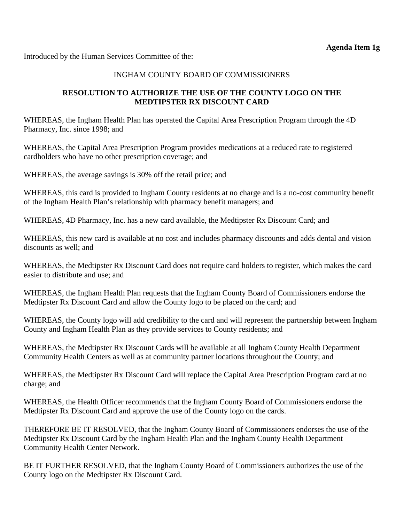Introduced by the Human Services Committee of the:

## INGHAM COUNTY BOARD OF COMMISSIONERS

# **RESOLUTION TO AUTHORIZE THE USE OF THE COUNTY LOGO ON THE MEDTIPSTER RX DISCOUNT CARD**

WHEREAS, the Ingham Health Plan has operated the Capital Area Prescription Program through the 4D Pharmacy, Inc. since 1998; and

WHEREAS, the Capital Area Prescription Program provides medications at a reduced rate to registered cardholders who have no other prescription coverage; and

WHEREAS, the average savings is 30% off the retail price; and

WHEREAS, this card is provided to Ingham County residents at no charge and is a no-cost community benefit of the Ingham Health Plan's relationship with pharmacy benefit managers; and

WHEREAS, 4D Pharmacy, Inc. has a new card available, the Medtipster Rx Discount Card; and

WHEREAS, this new card is available at no cost and includes pharmacy discounts and adds dental and vision discounts as well; and

WHEREAS, the Medtipster Rx Discount Card does not require card holders to register, which makes the card easier to distribute and use; and

WHEREAS, the Ingham Health Plan requests that the Ingham County Board of Commissioners endorse the Medtipster Rx Discount Card and allow the County logo to be placed on the card; and

WHEREAS, the County logo will add credibility to the card and will represent the partnership between Ingham County and Ingham Health Plan as they provide services to County residents; and

WHEREAS, the Medtipster Rx Discount Cards will be available at all Ingham County Health Department Community Health Centers as well as at community partner locations throughout the County; and

WHEREAS, the Medtipster Rx Discount Card will replace the Capital Area Prescription Program card at no charge; and

WHEREAS, the Health Officer recommends that the Ingham County Board of Commissioners endorse the Medtipster Rx Discount Card and approve the use of the County logo on the cards.

THEREFORE BE IT RESOLVED, that the Ingham County Board of Commissioners endorses the use of the Medtipster Rx Discount Card by the Ingham Health Plan and the Ingham County Health Department Community Health Center Network.

BE IT FURTHER RESOLVED, that the Ingham County Board of Commissioners authorizes the use of the County logo on the Medtipster Rx Discount Card.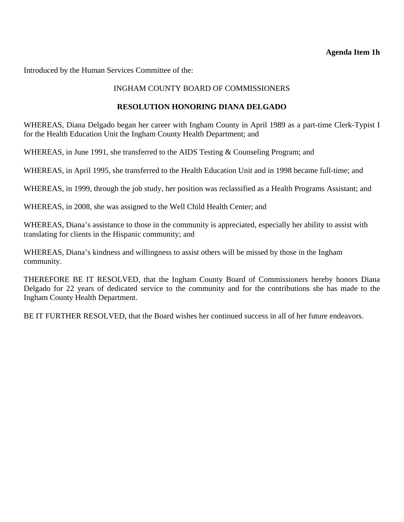### **Agenda Item 1h**

<span id="page-20-0"></span>Introduced by the Human Services Committee of the:

### INGHAM COUNTY BOARD OF COMMISSIONERS

#### **RESOLUTION HONORING DIANA DELGADO**

WHEREAS, Diana Delgado began her career with Ingham County in April 1989 as a part-time Clerk-Typist I for the Health Education Unit the Ingham County Health Department; and

WHEREAS, in June 1991, she transferred to the AIDS Testing & Counseling Program; and

WHEREAS, in April 1995, she transferred to the Health Education Unit and in 1998 became full-time; and

WHEREAS, in 1999, through the job study, her position was reclassified as a Health Programs Assistant; and

WHEREAS, in 2008, she was assigned to the Well Child Health Center; and

WHEREAS, Diana's assistance to those in the community is appreciated, especially her ability to assist with translating for clients in the Hispanic community; and

WHEREAS, Diana's kindness and willingness to assist others will be missed by those in the Ingham community.

THEREFORE BE IT RESOLVED, that the Ingham County Board of Commissioners hereby honors Diana Delgado for 22 years of dedicated service to the community and for the contributions she has made to the Ingham County Health Department.

BE IT FURTHER RESOLVED, that the Board wishes her continued success in all of her future endeavors.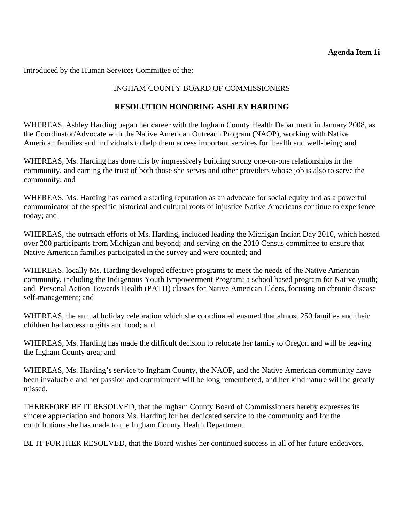## **Agenda Item 1i**

<span id="page-21-0"></span>Introduced by the Human Services Committee of the:

## INGHAM COUNTY BOARD OF COMMISSIONERS

## **RESOLUTION HONORING ASHLEY HARDING**

WHEREAS, Ashley Harding began her career with the Ingham County Health Department in January 2008, as the Coordinator/Advocate with the Native American Outreach Program (NAOP), working with Native American families and individuals to help them access important services for health and well-being; and

WHEREAS, Ms. Harding has done this by impressively building strong one-on-one relationships in the community, and earning the trust of both those she serves and other providers whose job is also to serve the community; and

WHEREAS, Ms. Harding has earned a sterling reputation as an advocate for social equity and as a powerful communicator of the specific historical and cultural roots of injustice Native Americans continue to experience today; and

WHEREAS, the outreach efforts of Ms. Harding, included leading the Michigan Indian Day 2010, which hosted over 200 participants from Michigan and beyond; and serving on the 2010 Census committee to ensure that Native American families participated in the survey and were counted; and

WHEREAS, locally Ms. Harding developed effective programs to meet the needs of the Native American community, including the Indigenous Youth Empowerment Program; a school based program for Native youth; and Personal Action Towards Health (PATH) classes for Native American Elders, focusing on chronic disease self-management; and

WHEREAS, the annual holiday celebration which she coordinated ensured that almost 250 families and their children had access to gifts and food; and

WHEREAS, Ms. Harding has made the difficult decision to relocate her family to Oregon and will be leaving the Ingham County area; and

WHEREAS, Ms. Harding's service to Ingham County, the NAOP, and the Native American community have been invaluable and her passion and commitment will be long remembered, and her kind nature will be greatly missed.

THEREFORE BE IT RESOLVED, that the Ingham County Board of Commissioners hereby expresses its sincere appreciation and honors Ms. Harding for her dedicated service to the community and for the contributions she has made to the Ingham County Health Department.

BE IT FURTHER RESOLVED, that the Board wishes her continued success in all of her future endeavors.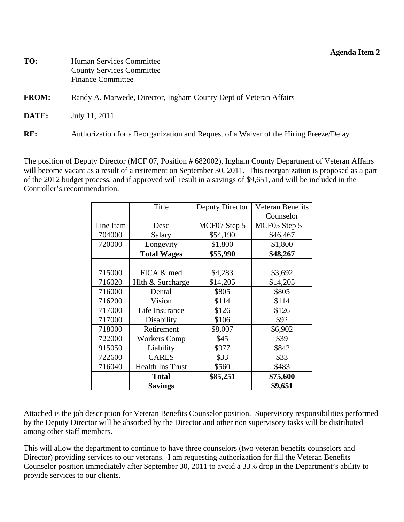### **Agenda Item 2**

<span id="page-22-0"></span>

| TO:          | Human Services Committee                                                              |
|--------------|---------------------------------------------------------------------------------------|
|              | <b>County Services Committee</b>                                                      |
|              | <b>Finance Committee</b>                                                              |
| <b>FROM:</b> | Randy A. Marwede, Director, Ingham County Dept of Veteran Affairs                     |
| <b>DATE:</b> | July 11, 2011                                                                         |
| RE:          | Authorization for a Reorganization and Request of a Waiver of the Hiring Freeze/Delay |

The position of Deputy Director (MCF 07, Position # 682002), Ingham County Department of Veteran Affairs will become vacant as a result of a retirement on September 30, 2011. This reorganization is proposed as a part of the 2012 budget process, and if approved will result in a savings of \$9,651, and will be included in the Controller's recommendation.

|           | Title                   | Deputy Director | <b>Veteran Benefits</b> |
|-----------|-------------------------|-----------------|-------------------------|
|           |                         |                 | Counselor               |
| Line Item | Desc                    | MCF07 Step 5    | MCF05 Step 5            |
| 704000    | Salary                  | \$54,190        | \$46,467                |
| 720000    | Longevity               | \$1,800         | \$1,800                 |
|           | <b>Total Wages</b>      | \$55,990        | \$48,267                |
|           |                         |                 |                         |
| 715000    | FICA & med              | \$4,283         | \$3,692                 |
| 716020    | Hlth & Surcharge        | \$14,205        | \$14,205                |
| 716000    | Dental                  | \$805           | \$805                   |
| 716200    | Vision                  | \$114           | \$114                   |
| 717000    | Life Insurance          | \$126           | \$126                   |
| 717000    | Disability              | \$106           | \$92                    |
| 718000    | Retirement              | \$8,007         | \$6,902                 |
| 722000    | <b>Workers Comp</b>     | \$45            | \$39                    |
| 915050    | Liability               | \$977           | \$842                   |
| 722600    | <b>CARES</b>            | \$33            | \$33                    |
| 716040    | <b>Health Ins Trust</b> | \$560           | \$483                   |
|           | <b>Total</b>            | \$85,251        | \$75,600                |
|           | <b>Savings</b>          |                 | \$9,651                 |

Attached is the job description for Veteran Benefits Counselor position. Supervisory responsibilities performed by the Deputy Director will be absorbed by the Director and other non supervisory tasks will be distributed among other staff members.

This will allow the department to continue to have three counselors (two veteran benefits counselors and Director) providing services to our veterans. I am requesting authorization for fill the Veteran Benefits Counselor position immediately after September 30, 2011 to avoid a 33% drop in the Department's ability to provide services to our clients.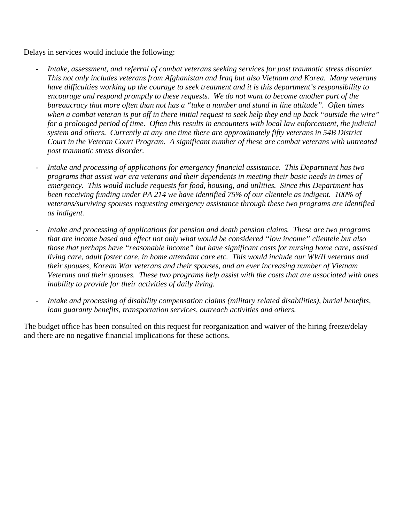Delays in services would include the following:

- *Intake, assessment, and referral of combat veterans seeking services for post traumatic stress disorder. This not only includes veterans from Afghanistan and Iraq but also Vietnam and Korea. Many veterans have difficulties working up the courage to seek treatment and it is this department's responsibility to encourage and respond promptly to these requests. We do not want to become another part of the bureaucracy that more often than not has a "take a number and stand in line attitude". Often times when a combat veteran is put off in there initial request to seek help they end up back "outside the wire" for a prolonged period of time. Often this results in encounters with local law enforcement, the judicial system and others. Currently at any one time there are approximately fifty veterans in 54B District Court in the Veteran Court Program. A significant number of these are combat veterans with untreated post traumatic stress disorder.*
- *Intake and processing of applications for emergency financial assistance. This Department has two programs that assist war era veterans and their dependents in meeting their basic needs in times of emergency. This would include requests for food, housing, and utilities. Since this Department has been receiving funding under PA 214 we have identified 75% of our clientele as indigent. 100% of veterans/surviving spouses requesting emergency assistance through these two programs are identified as indigent.*
- *Intake and processing of applications for pension and death pension claims. These are two programs that are income based and effect not only what would be considered "low income" clientele but also those that perhaps have "reasonable income" but have significant costs for nursing home care, assisted living care, adult foster care, in home attendant care etc. This would include our WWII veterans and their spouses, Korean War veterans and their spouses, and an ever increasing number of Vietnam Veterans and their spouses. These two programs help assist with the costs that are associated with ones inability to provide for their activities of daily living.*
- *Intake and processing of disability compensation claims (military related disabilities), burial benefits, loan guaranty benefits, transportation services, outreach activities and others.*

The budget office has been consulted on this request for reorganization and waiver of the hiring freeze/delay and there are no negative financial implications for these actions.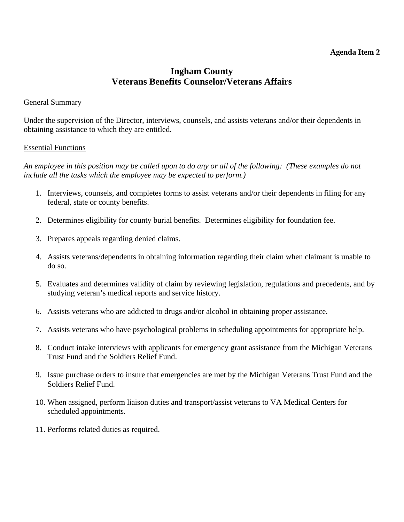### **Agenda Item 2**

# **Ingham County Veterans Benefits Counselor/Veterans Affairs**

#### General Summary

Under the supervision of the Director, interviews, counsels, and assists veterans and/or their dependents in obtaining assistance to which they are entitled.

#### Essential Functions

*An employee in this position may be called upon to do any or all of the following: (These examples do not include all the tasks which the employee may be expected to perform.)* 

- 1. Interviews, counsels, and completes forms to assist veterans and/or their dependents in filing for any federal, state or county benefits.
- 2. Determines eligibility for county burial benefits. Determines eligibility for foundation fee.
- 3. Prepares appeals regarding denied claims.
- 4. Assists veterans/dependents in obtaining information regarding their claim when claimant is unable to do so.
- 5. Evaluates and determines validity of claim by reviewing legislation, regulations and precedents, and by studying veteran's medical reports and service history.
- 6. Assists veterans who are addicted to drugs and/or alcohol in obtaining proper assistance.
- 7. Assists veterans who have psychological problems in scheduling appointments for appropriate help.
- 8. Conduct intake interviews with applicants for emergency grant assistance from the Michigan Veterans Trust Fund and the Soldiers Relief Fund.
- 9. Issue purchase orders to insure that emergencies are met by the Michigan Veterans Trust Fund and the Soldiers Relief Fund.
- 10. When assigned, perform liaison duties and transport/assist veterans to VA Medical Centers for scheduled appointments.
- 11. Performs related duties as required.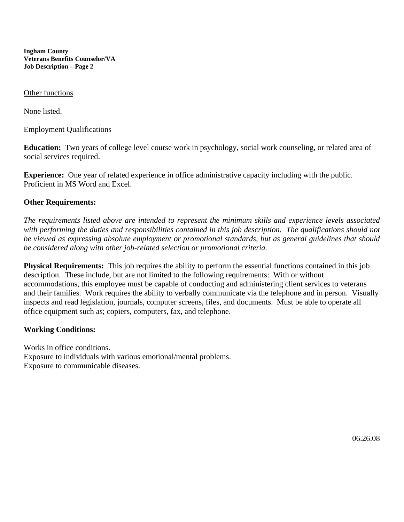**Ingham County Veterans Benefits Counselor/VA Job Description – Page 2** 

#### Other functions

None listed.

#### Employment Qualifications

**Education:** Two years of college level course work in psychology, social work counseling, or related area of social services required.

**Experience:** One year of related experience in office administrative capacity including with the public. Proficient in MS Word and Excel.

#### **Other Requirements:**

*The requirements listed above are intended to represent the minimum skills and experience levels associated*  with performing the duties and responsibilities contained in this job description. The qualifications should not *be viewed as expressing absolute employment or promotional standards, but as general guidelines that should be considered along with other job-related selection or promotional criteria.* 

**Physical Requirements:** This job requires the ability to perform the essential functions contained in this job description. These include, but are not limited to the following requirements: With or without accommodations, this employee must be capable of conducting and administering client services to veterans and their families. Work requires the ability to verbally communicate via the telephone and in person. Visually inspects and read legislation, journals, computer screens, files, and documents. Must be able to operate all office equipment such as; copiers, computers, fax, and telephone.

#### **Working Conditions:**

Works in office conditions. Exposure to individuals with various emotional/mental problems. Exposure to communicable diseases.